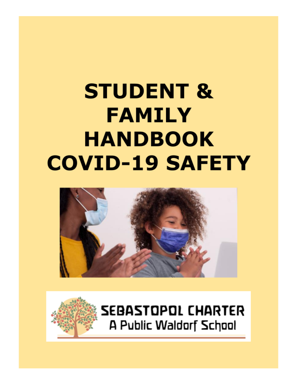# **STUDENT & FAMILY HANDBOOK COVID-19 SAFETY**



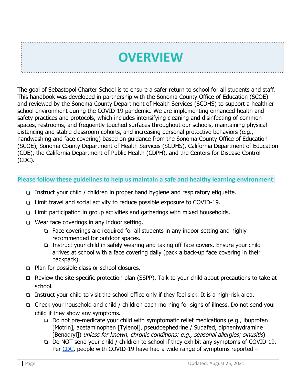## **OVERVIEW**

The goal of Sebastopol Charter School is to ensure a safer return to school for all students and staff. This handbook was developed in partnership with the Sonoma County Office of Education (SCOE) and reviewed by the Sonoma County Department of Health Services (SCDHS) to support a healthier school environment during the COVID-19 pandemic. We are implementing enhanced health and safety practices and protocols, which includes intensifying cleaning and disinfecting of common spaces, restrooms, and frequently touched surfaces throughout our schools, maintaining physical distancing and stable classroom cohorts, and increasing personal protective behaviors (e.g., handwashing and face covering) based on guidance from the Sonoma County Office of Education (SCOE), Sonoma County Department of Health Services (SCDHS), California Department of Education (CDE), the California Department of Public Health (CDPH), and the Centers for Disease Control (CDC).

## **Please follow these guidelines to help us maintain a safe and healthy learning environment:**

- ❏ Instruct your child / children in proper hand hygiene and respiratory etiquette.
- ❏ Limit travel and social activity to reduce possible exposure to COVID-19.
- ❏ Limit participation in group activities and gatherings with mixed households.
- ❏ Wear face coverings in any indoor setting.
	- ❏ Face coverings are required for all students in any indoor setting and highly recommended for outdoor spaces.
	- ❏ Instruct your child in safely wearing and taking off face covers. Ensure your child arrives at school with a face covering daily (pack a back-up face covering in their backpack).
- ❏ Plan for possible class or school closures.
- ❏ Review the site-specific protection plan (SSPP). Talk to your child about precautions to take at school.
- ❏ Instruct your child to visit the school office only if they feel sick. It is a high-risk area.
- ❏ Check your household and child / children each morning for signs of illness. Do not send your child if they show any symptoms.
	- ❏ Do not pre-medicate your child with symptomatic relief medications (e.g., ibuprofen [Motrin], acetaminophen [Tylenol], pseudoephedrine / Sudafed, diphenhydramine [Benadryl]) unless for known, chronic conditions; e.g., seasonal allergies; sinusitis)
	- ❏ Do NOT send your child / children to school if they exhibit any symptoms of COVID-19. Per [CDC,](https://www.cdc.gov/coronavirus/2019-ncov/symptoms-testing/symptoms.html) people with COVID-19 have had a wide range of symptoms reported –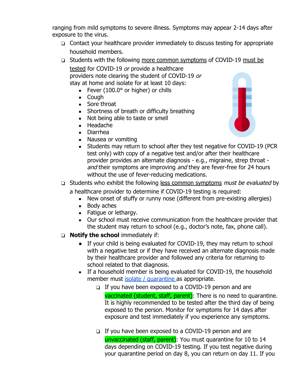ranging from mild symptoms to severe illness. Symptoms may appear 2-14 days after exposure to the virus.

- ❏ Contact your healthcare provider immediately to discuss testing for appropriate household members.
- ❏ Students with the following more common symptoms of COVID-19 must be

tested for COVID-19 or provide a healthcare providers note clearing the student of COVID-19 or stay at home and isolate for at least 10 days:

- Fever  $(100.0^\circ \text{ or higher})$  or chills
- Cough
- Sore throat
- Shortness of breath or difficulty breathing
- Not being able to taste or smell
- Headache
- Diarrhea
- Nausea or vomiting
- Students may return to school after they test negative for COVID-19 (PCR) test only) with copy of a negative test and/or after their healthcare provider provides an alternate diagnosis - e.g., migraine, strep throat and their symptoms are improving and they are fever-free for 24 hours without the use of fever-reducing medications.
- ❏ Students who exhibit the following less common symptoms must be evaluated by a healthcare provider to determine if COVID-19 testing is required:
	- New onset of stuffy or runny nose (different from pre-existing allergies)
	- Body aches
	- Fatique or lethargy.
	- Our school must receive communication from the healthcare provider that the student may return to school (e.g., doctor's note, fax, phone call).
- ❏ **Notify the school** immediately if:
	- If your child is being evaluated for COVID-19, they may return to school with a negative test or if they have received an alternate diagnosis made by their healthcare provider and followed any criteria for returning to school related to that diagnosis.
	- If a household member is being evaluated for COVID-19, the household member must [isolate / quarantine](https://socoemergency.org/emergency/novel-coronavirus/health-orders/home-isolation-and-quarantine-instructions/) as appropriate.
		- ❏ If you have been exposed to a COVID-19 person and are vaccinated (student, staff, parent): There is no need to quarantine. It is highly recommended to be tested after the third day of being exposed to the person. Monitor for symptoms for 14 days after exposure and test immediately if you experience any symptoms.
		- ❏ If you have been exposed to a COVID-19 person and are unvaccinated (staff, parent): You must quarantine for 10 to 14 days depending on COVID-19 testing. If you test negative during your quarantine period on day 8, you can return on day 11. If you

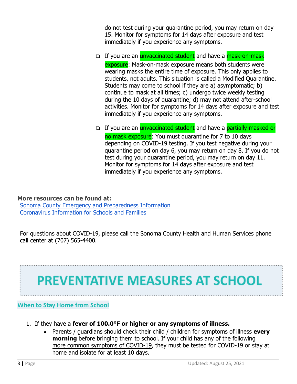do not test during your quarantine period, you may return on day 15. Monitor for symptoms for 14 days after exposure and test immediately if you experience any symptoms.

- □ If you are an *unvaccinated student* and have a mask-on-mask exposure: Mask-on-mask exposure means both students were wearing masks the entire time of exposure. This only applies to students, not adults. This situation is called a Modified Quarantine. Students may come to school if they are a) asymptomatic; b) continue to mask at all times; c) undergo twice weekly testing during the 10 days of quarantine; d) may not attend after-school activities. Monitor for symptoms for 14 days after exposure and test immediately if you experience any symptoms.
- □ If you are an *unvaccinated student* and have a partially masked or no mask exposure: You must quarantine for 7 to 10 days depending on COVID-19 testing. If you test negative during your quarantine period on day 6, you may return on day 8. If you do not test during your quarantine period, you may return on day 11. Monitor for symptoms for 14 days after exposure and test immediately if you experience any symptoms.

## **More resources can be found at:**

[Sonoma County Emergency and Preparedness Information](https://socoemergency.org/) [Coronavirus Information for Schools and Families](https://www.scoe.org/pub/htdocs/coronavirus.html)

For questions about COVID-19, please call the Sonoma County Health and Human Services phone call center at (707) 565-4400.

## **PREVENTATIVE MEASURES AT SCHOOL**

## **When to Stay Home from School**

- 1. If they have a **fever of 100.0°F or higher or any symptoms of illness.**
	- Parents / guardians should check their child / children for symptoms of illness **every morning** before bringing them to school. If your child has any of the following more common symptoms of COVID-19, they must be tested for COVID-19 or stay at home and isolate for at least 10 days.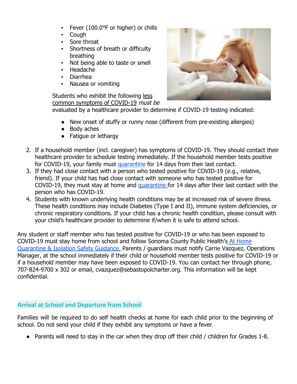- Fever (100.0°F or higher) or chills
- Cough
- Sore throat
- Shortness of breath or difficulty breathing
- Not being able to taste or smell
- Headache
- **Diarrhea**
- Nausea or vomiting

Students who exhibit the following less common symptoms of COVID-19 must be

evaluated by a healthcare provider to determine if COVID-19 testing indicated:

- New onset of stuffy or runny nose (different from pre-existing allergies)
- Body aches
- Fatigue or lethargy
- 2. If a household member (incl. caregiver) has symptoms of COVID-19. They should contact their healthcare provider to schedule testing immediately. If the household member tests positive for COVID-19, your family must [quarantine](https://socoemergency.org/emergency/novel-coronavirus/health-orders/home-isolation-and-quarantine-instructions/) for 14 days from their last contact.
- 3. If they had close contact with a person who tested positive for COVID-19 (e.g., relative, friend). If your child has had close contact with someone who has tested positive for COVID-19, they must stay at home and [quarantine](https://socoemergency.org/emergency/novel-coronavirus/health-orders/home-isolation-and-quarantine-instructions/) for 14 days after their last contact with the person who has COVID-19.
- 4. Students with known underlying health conditions may be at increased risk of severe illness. These health conditions may include Diabetes (Type I and II), immune system deficiencies, or chronic respiratory conditions. If your child has a chronic health condition, please consult with your child's healthcare provider to determine if/when it is safe to attend school.

Any student or staff member who has tested positive for COVID-19 or who has been exposed to COVID-19 must stay home from school and follow Sonoma County Public Health's [At Home](https://socoemergency.org/emergency/novel-coronavirus/health-orders/home-isolation-and-quarantine-instructions/) [Quarantine & Isolation Safety Guidance](https://socoemergency.org/emergency/novel-coronavirus/health-orders/home-isolation-and-quarantine-instructions/). Parents / guardians must notify Carrie Vazquez, Operations Manager, at the school immediately if their child or household member tests positive for COVID-19 or if a household member may have been exposed to COVID-19. You can contact her through phone, 707-824-9700 x 302 or email, cvazquez@sebastopolcharter.org. This information will be kept confidential.

## **Arrival at School and Departure from School**

Families will be required to do self health checks at home for each child prior to the beginning of school. Do not send your child if they exhibit any symptoms or have a fever.

● Parents will need to stay in the car when they drop off their child / children for Grades 1-8.

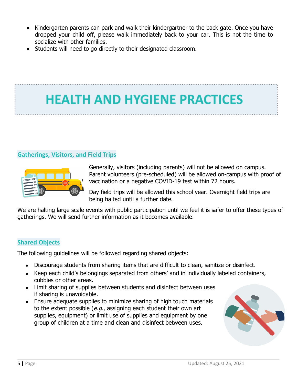- Kindergarten parents can park and walk their kindergartner to the back gate. Once you have dropped your child off, please walk immediately back to your car. This is not the time to socialize with other families.
- Students will need to go directly to their designated classroom.

## **HEALTH AND HYGIENE PRACTICES**

## **Gatherings, Visitors, and Field Trips**



Generally, visitors (including parents) will not be allowed on campus. Parent volunteers (pre-scheduled) will be allowed on-campus with proof of vaccination or a negative COVID-19 test within 72 hours.

Day field trips will be allowed this school year. Overnight field trips are being halted until a further date.

We are halting large scale events with public participation until we feel it is safer to offer these types of gatherings. We will send further information as it becomes available.

## **Shared Objects**

The following guidelines will be followed regarding shared objects:

- Discourage students from sharing items that are difficult to clean, sanitize or disinfect.
- Keep each child's belongings separated from others' and in individually labeled containers, cubbies or other areas.
- Limit sharing of supplies between students and disinfect between uses if sharing is unavoidable.
- Ensure adequate supplies to minimize sharing of high touch materials to the extent possible ( $e.g.,$  assigning each student their own art supplies, equipment) or limit use of supplies and equipment by one group of children at a time and clean and disinfect between uses.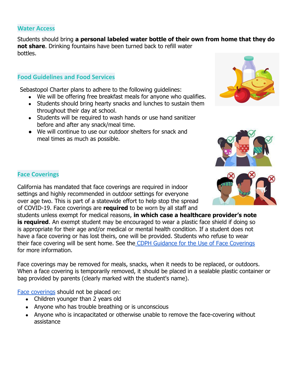### **Water Access**

Students should bring **a personal labeled water bottle of their own from home that they do not share**. Drinking fountains have been turned back to refill water bottles.

## **Food Guidelines and Food Services**

Sebastopol Charter plans to adhere to the following guidelines:

- We will be offering free breakfast meals for anyone who qualifies.
- Students should bring hearty snacks and lunches to sustain them throughout their day at school.
- Students will be required to wash hands or use hand sanitizer before and after any snack/meal time.
- We will continue to use our outdoor shelters for snack and meal times as much as possible.





## **Face Coverings**

California has mandated that face coverings are required in indoor settings and highly recommended in outdoor settings for everyone over age two. This is part of a statewide effort to help stop the spread of COVID-19. Face coverings are **required** to be worn by all staff and

students unless exempt for medical reasons, **in which case a healthcare provider's note is required.** An exempt student may be encouraged to wear a plastic face shield if doing so is appropriate for their age and/or medical or mental health condition. If a student does not have a face covering or has lost theirs, one will be provided. Students who refuse to wear their face covering will be sent home. See the CDPH [Guidance for the Use of Face Coverings](https://www.cdph.ca.gov/Programs/CID/DCDC/CDPH%20Document%20Library/COVID-19/Guidance-for-Face-Coverings_06-18-2020.pdf) for more information.

Face coverings may be removed for meals, snacks, when it needs to be replaced, or outdoors. When a face covering is temporarily removed, it should be placed in a sealable plastic container or bag provided by parents (clearly marked with the student's name).

[Face coverings](https://www.youtube.com/watch?v=tPx1yqvJgf4) should not be placed on:

- Children younger than 2 years old
- Anyone who has trouble breathing or is unconscious
- Anyone who is incapacitated or otherwise unable to remove the face-covering without assistance

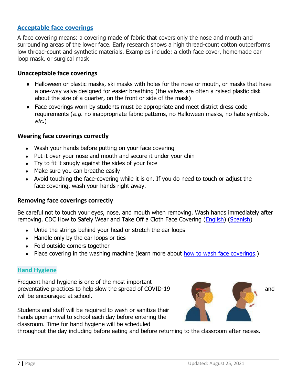## **[Acceptable face coverings](https://www.cdc.gov/coronavirus/2019-ncov/prevent-getting-sick/about-face-coverings.html)**

A face covering means: a covering made of fabric that covers only the nose and mouth and surrounding areas of the lower face. Early research shows a high thread-count cotton outperforms low thread-count and synthetic materials. Examples include: a cloth face cover, homemade ear loop mask, or surgical mask

## **Unacceptable face coverings**

- Halloween or plastic masks, ski masks with holes for the nose or mouth, or masks that have a one-way valve designed for easier breathing (the valves are often a raised plastic disk about the size of a quarter, on the front or side of the mask)
- Face coverings worn by students must be appropriate and meet district dress code requirements (e.g. no inappropriate fabric patterns, no Halloween masks, no hate symbols, etc.)

## **Wearing face coverings correctly**

- Wash your hands before putting on your face covering
- Put it over your nose and mouth and secure it under your chin
- Try to fit it snugly against the sides of your face
- Make sure you can breathe easily
- Avoid touching the face-covering while it is on. If you do need to touch or adjust the face covering, wash your hands right away.

## **Removing face coverings correctly**

Be careful not to touch your eyes, nose, and mouth when removing. Wash hands immediately after removing. CDC How to Safely Wear and Take Off a Cloth Face Covering [\(English\)](https://www.cdc.gov/coronavirus/2019-ncov/prevent-getting-sick/how-to-wear-cloth-face-coverings.html) ([Spanish\)](https://espanol.cdc.gov/coronavirus/2019-ncov/prevent-getting-sick/how-to-wear-cloth-face-coverings.html)

- Untie the strings behind your head or stretch the ear loops
- Handle only by the ear loops or ties
- Fold outside corners together
- Place covering in the washing machine (learn more about [how to wash face coverings.](https://www.cdc.gov/coronavirus/2019-ncov/prevent-getting-sick/how-to-wash-cloth-face-coverings.html))

## **Hand Hygiene**

Frequent hand hygiene is one of the most important preventative practices to help slow the spread of COVID-19 and will be encouraged at school.

Students and staff will be required to wash or sanitize their hands upon arrival to school each day before entering the classroom. Time for hand hygiene will be scheduled

throughout the day including before eating and before returning to the classroom after recess.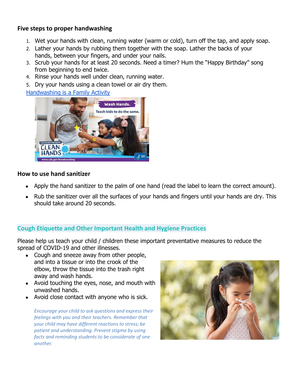## **Five steps to proper handwashing**

- 1. Wet your hands with clean, running water (warm or cold), turn off the tap, and apply soap.
- 2. Lather your hands by rubbing them together with the soap. Lather the backs of your hands, between your fingers, and under your nails.
- 3. Scrub your hands for at least 20 seconds. Need a timer? Hum the "Happy Birthday" song from beginning to end twice.
- 4. Rinse your hands well under clean, running water.
- 5. Dry your hands using a clean towel or air dry them.

[Handwashing is a Family Activity](https://www.cdc.gov/handwashing/handwashing-family.html)



## **How to use hand sanitizer**

- Apply the hand sanitizer to the palm of one hand (read the label to learn the correct amount).
- Rub the sanitizer over all the surfaces of your hands and fingers until your hands are dry. This should take around 20 seconds.

## **Cough Etiquette and Other Important Health and Hygiene Practices**

Please help us teach your child / children these important preventative measures to reduce the spread of COVID-19 and other illnesses.

- Cough and sneeze away from other people, and into a tissue or into the crook of the elbow, throw the tissue into the trash right away and wash hands.
- Avoid touching the eyes, nose, and mouth with unwashed hands.
- Avoid close contact with anyone who is sick.

*Encourage your child to ask questions and express their feelings with you and their teachers. Remember that your child may have different reactions to stress; be patient and understanding. Prevent stigma by using facts and reminding students to be considerate of one another.*

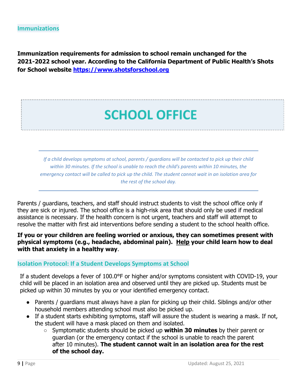**Immunization requirements for admission to school remain unchanged for the 2021-2022 school year. According to the California Department of Public Health's Shots for School website <https://www.shotsforschool.org>**

## **SCHOOL OFFICE**

If a child develops symptoms at school, parents / quardians will be contacted to pick up their child *within 30 minutes. If the school is unable to reach the child's parents within 10 minutes, the* emergency contact will be called to pick up the child. The student cannot wait in an isolation area for *the rest of the school day.*

Parents / guardians, teachers, and staff should instruct students to visit the school office only if they are sick or injured. The school office is a high-risk area that should only be used if medical assistance is necessary. If the health concern is not urgent, teachers and staff will attempt to resolve the matter with first aid interventions before sending a student to the school health office.

## **If you or your children are feeling worried or anxious, they can sometimes present with physical symptoms (e.g., headache, abdominal pain). [Help](https://childmind.org/article/anxiety-and-coping-with-coronavirus/) your child learn how to deal with that anxiety in a [healthy way](https://childmind.org/article/self-care-in-the-time-of-coronavirus/)**.

### **Isolation Protocol: If a Student Develops Symptoms at School**

If a student develops a fever of 100.0°F or higher and/or symptoms consistent with COVID-19, your child will be placed in an isolation area and observed until they are picked up. Students must be picked up within 30 minutes by you or your identified emergency contact.

- Parents / guardians must always have a plan for picking up their child. Siblings and/or other household members attending school must also be picked up.
- If a student starts exhibiting symptoms, staff will assure the student is wearing a mask. If not, the student will have a mask placed on them and isolated.
	- **○** Symptomatic students should be picked up **within 30 minutes** by their parent or guardian (or the emergency contact if the school is unable to reach the parent after 10 minutes). **The student cannot wait in an isolation area for the rest of the school day.**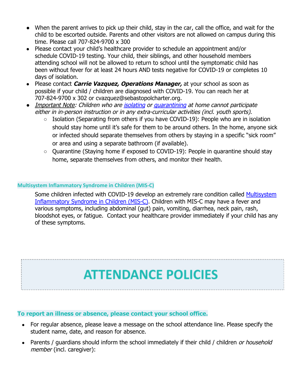- When the parent arrives to pick up their child, stay in the car, call the office, and wait for the child to be escorted outside. Parents and other visitors are not allowed on campus during this time. Please call 707-824-9700 x 300
- Please contact your child's healthcare provider to schedule an appointment and/or schedule COVID-19 testing. Your child, their siblings, and other household members attending school will not be allowed to return to school until the symptomatic child has been without fever for at least 24 hours AND tests negative for COVID-19 or completes 10 days of isolation.
- Please contact **Carrie Vazquez, Operations Manager,** at your school as soon as possible if your child / children are diagnosed with COVID-19. You can reach her at 707-824-9700 x 302 or cvazquez@sebastopolcharter.org.
- *●* Important Note: Children who are [isolating](https://www.cdc.gov/coronavirus/2019-ncov/if-you-are-sick/isolation.html) or [quarantining](https://www.cdc.gov/coronavirus/2019-ncov/if-you-are-sick/quarantine.html) at home cannot participate either in in-person instruction or in any extra-curricular activities (incl. youth sports).
	- Isolation (Separating from others if you have COVID-19): People who are in isolation should stay home until it's safe for them to be around others. In the home, anyone sick or infected should separate themselves from others by staying in a specific "sick room" or area and using a separate bathroom (if available).
	- Quarantine (Staying home if exposed to COVID-19): People in quarantine should stay home, separate themselves from others, and monitor their health.

## **Multisystem Inflammatory Syndrome in Children (MIS-C)**

Some children infected with COVID-19 develop an extremely rare condition called [Multisystem](https://www.cdc.gov/coronavirus/2019-ncov/daily-life-coping/children/mis-c.html) [Inflammatory Syndrome in Children \(MIS-C\)](https://www.cdc.gov/coronavirus/2019-ncov/daily-life-coping/children/mis-c.html). Children with MIS-C may have a fever and various symptoms, including abdominal (gut) pain, vomiting, diarrhea, neck pain, rash, bloodshot eyes, or fatigue. Contact your healthcare provider immediately if your child has any of these symptoms.

## **ATTENDANCE POLICIES**

## **To report an illness or absence, please contact your school office.**

- For regular absence, please leave a message on the school attendance line. Please specify the student name, date, and reason for absence.
- Parents / guardians should inform the school immediately if their child / children or household member (incl. caregiver):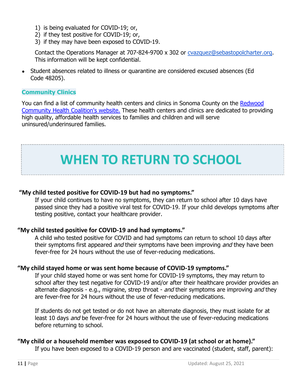- 1) is being evaluated for COVID-19; or,
- 2) if they test positive for COVID-19; or,
- 3) if they may have been exposed to COVID-19.

Contact the Operations Manager at 707-824-9700 x 302 or [cvazquez@sebastopolcharter.org](mailto:cvazquez@sebastopolcharter.org). This information will be kept confidential.

• Student absences related to illness or quarantine are considered excused absences (Ed Code 48205).

## **Community Clinics**

You can find a list of community health centers and clinics in Sonoma County on the [Redwood](https://www.rchc.net/sonoma-county-health-centers/) [Community Health Coalition's website.](https://www.rchc.net/sonoma-county-health-centers/) These health centers and clinics are dedicated to providing high quality, affordable health services to families and children and will serve uninsured/underinsured families.

## **WHEN TO RETURN TO SCHOOL**

## **"My child tested positive for COVID-19 but had no symptoms."**

If your child continues to have no symptoms, they can return to school after 10 days have passed since they had a positive viral test for COVID-19. If your child develops symptoms after testing positive, contact your healthcare provider.

## **"My child tested positive for COVID-19 and had symptoms."**

A child who tested positive for COVID and had symptoms can return to school 10 days after their symptoms first appeared and their symptoms have been improving and they have been fever-free for 24 hours without the use of fever-reducing medications.

### **"My child stayed home or was sent home because of COVID-19 symptoms."**

If your child stayed home or was sent home for COVID-19 symptoms, they may return to school after they test negative for COVID-19 and/or after their healthcare provider provides an alternate diagnosis - e.g., migraine, strep throat - and their symptoms are improving and they are fever-free for 24 hours without the use of fever-reducing medications.

If students do not get tested or do not have an alternate diagnosis, they must isolate for at least 10 days and be fever-free for 24 hours without the use of fever-reducing medications before returning to school.

### **"My child or a household member was exposed to COVID-19 (at school or at home)."**

If you have been exposed to a COVID-19 person and are vaccinated (student, staff, parent):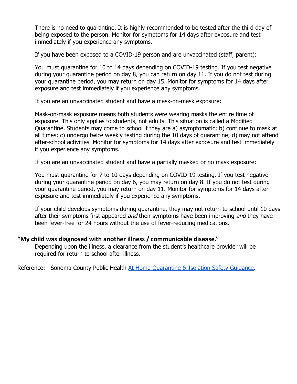There is no need to quarantine. It is highly recommended to be tested after the third day of being exposed to the person. Monitor for symptoms for 14 days after exposure and test immediately if you experience any symptoms.

If you have been exposed to a COVID-19 person and are unvaccinated (staff, parent):

You must quarantine for 10 to 14 days depending on COVID-19 testing. If you test negative during your quarantine period on day 8, you can return on day 11. If you do not test during your quarantine period, you may return on day 15. Monitor for symptoms for 14 days after exposure and test immediately if you experience any symptoms.

If you are an unvaccinated student and have a mask-on-mask exposure:

Mask-on-mask exposure means both students were wearing masks the entire time of exposure. This only applies to students, not adults. This situation is called a Modified Quarantine. Students may come to school if they are a) asymptomatic; b) continue to mask at all times; c) undergo twice weekly testing during the 10 days of quarantine; d) may not attend after-school activities. Monitor for symptoms for 14 days after exposure and test immediately if you experience any symptoms.

If you are an unvaccinated student and have a partially masked or no mask exposure:

You must quarantine for 7 to 10 days depending on COVID-19 testing. If you test negative during your quarantine period on day 6, you may return on day 8. If you do not test during your quarantine period, you may return on day 11. Monitor for symptoms for 14 days after exposure and test immediately if you experience any symptoms.

If your child develops symptoms during quarantine, they may not return to school until 10 days after their symptoms first appeared and their symptoms have been improving and they have been fever-free for 24 hours without the use of fever-reducing medications.

## **"My child was diagnosed with another illness / communicable disease."**

Depending upon the illness, a clearance from the student's healthcare provider will be required for return to school after illness.

Reference: Sonoma County Public Health At Home Quarantine [& Isolation Safety Guidance](https://coronavirus.marinhhs.org/sites/default/files/2020-06/quarantineandisolation-finalfinal2020.05.20revec.pdf).